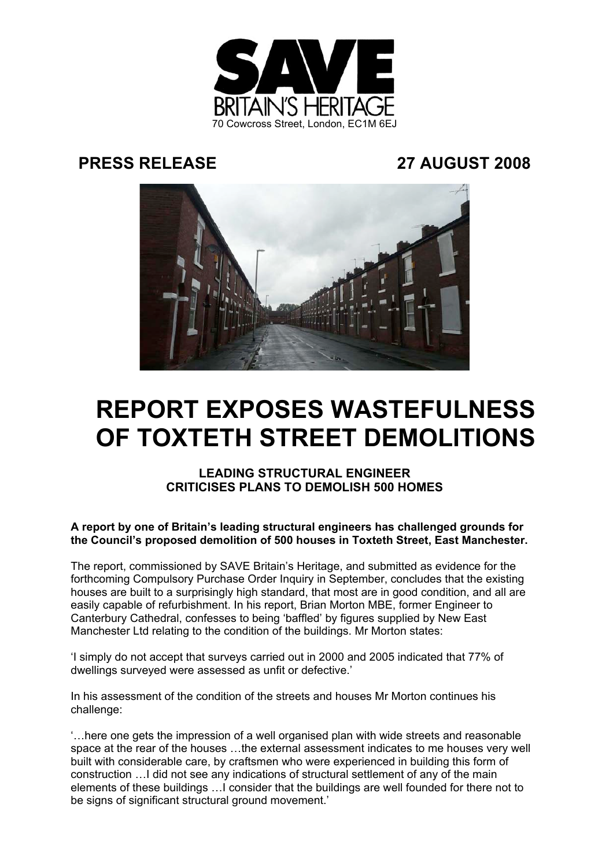

## **PRESS RELEASE 27 AUGUST 2008**



# **REPORT EXPOSES WASTEFULNESS OF TOXTETH STREET DEMOLITIONS**

### **LEADING STRUCTURAL ENGINEER CRITICISES PLANS TO DEMOLISH 500 HOMES**

**A report by one of Britain's leading structural engineers has challenged grounds for the Council's proposed demolition of 500 houses in Toxteth Street, East Manchester.**

The report, commissioned by SAVE Britain's Heritage, and submitted as evidence for the forthcoming Compulsory Purchase Order Inquiry in September, concludes that the existing houses are built to a surprisingly high standard, that most are in good condition, and all are easily capable of refurbishment. In his report, Brian Morton MBE, former Engineer to Canterbury Cathedral, confesses to being 'baffled' by figures supplied by New East Manchester Ltd relating to the condition of the buildings. Mr Morton states:

'I simply do not accept that surveys carried out in 2000 and 2005 indicated that 77% of dwellings surveyed were assessed as unfit or defective.'

In his assessment of the condition of the streets and houses Mr Morton continues his challenge:

'…here one gets the impression of a well organised plan with wide streets and reasonable space at the rear of the houses …the external assessment indicates to me houses very well built with considerable care, by craftsmen who were experienced in building this form of construction …I did not see any indications of structural settlement of any of the main elements of these buildings …I consider that the buildings are well founded for there not to be signs of significant structural ground movement.'